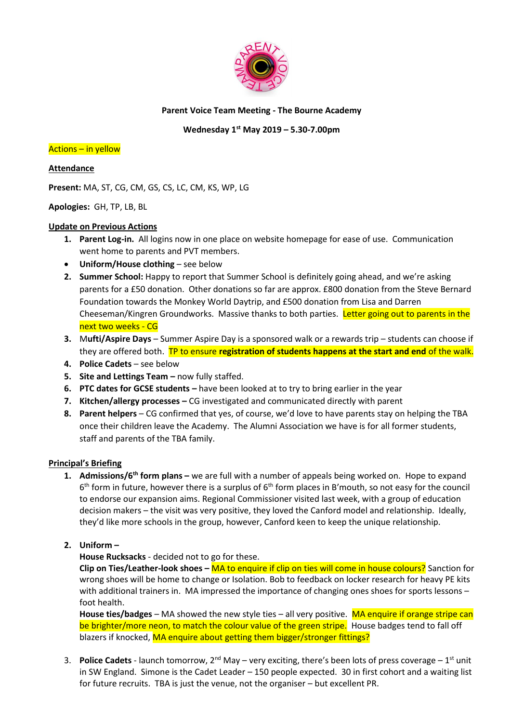

### **Parent Voice Team Meeting - The Bourne Academy**

## **Wednesday 1 st May 2019 – 5.30-7.00pm**

#### Actions – in yellow

#### **Attendance**

**Present:** MA, ST, CG, CM, GS, CS, LC, CM, KS, WP, LG

### **Apologies:** GH, TP, LB, BL

### **Update on Previous Actions**

- **1. Parent Log-in.** All logins now in one place on website homepage for ease of use. Communication went home to parents and PVT members.
- **Uniform/House clothing** see below
- **2. Summer School:** Happy to report that Summer School is definitely going ahead, and we're asking parents for a £50 donation. Other donations so far are approx. £800 donation from the Steve Bernard Foundation towards the Monkey World Daytrip, and £500 donation from Lisa and Darren Cheeseman/Kingren Groundworks. Massive thanks to both parties. Letter going out to parents in the next two weeks - CG
- **3.** M**ufti/Aspire Days**  Summer Aspire Day is a sponsored walk or a rewards trip students can choose if they are offered both. TP to ensure **registration of students happens at the start and end** of the walk.
- **4. Police Cadets** see below
- **5.** Site and Lettings Team now fully staffed.
- **6. PTC dates for GCSE students** have been looked at to try to bring earlier in the year
- **7. Kitchen/allergy processes –** CG investigated and communicated directly with parent
- **8. Parent helpers**  CG confirmed that yes, of course, we'd love to have parents stay on helping the TBA once their children leave the Academy. The Alumni Association we have is for all former students, staff and parents of the TBA family.

#### **Principal's Briefing**

- **1. Admissions/6th form plans –** we are full with a number of appeals being worked on. Hope to expand  $6<sup>th</sup>$  form in future, however there is a surplus of  $6<sup>th</sup>$  form places in B'mouth, so not easy for the council to endorse our expansion aims. Regional Commissioner visited last week, with a group of education decision makers – the visit was very positive, they loved the Canford model and relationship. Ideally, they'd like more schools in the group, however, Canford keen to keep the unique relationship.
- **2. Uniform –**

## **House Rucksacks** - decided not to go for these.

**Clip on Ties/Leather-look shoes –** MA to enquire if clip on ties will come in house colours? Sanction for wrong shoes will be home to change or Isolation. Bob to feedback on locker research for heavy PE kits with additional trainers in. MA impressed the importance of changing ones shoes for sports lessons – foot health.

**House ties/badges** – MA showed the new style ties – all very positive. MA enquire if orange stripe can be brighter/more neon, to match the colour value of the green stripe. House badges tend to fall off blazers if knocked, MA enquire about getting them bigger/stronger fittings?

3. **Police Cadets** - launch tomorrow, 2<sup>nd</sup> May – very exciting, there's been lots of press coverage –  $1<sup>st</sup>$  unit in SW England. Simone is the Cadet Leader – 150 people expected. 30 in first cohort and a waiting list for future recruits. TBA is just the venue, not the organiser – but excellent PR.